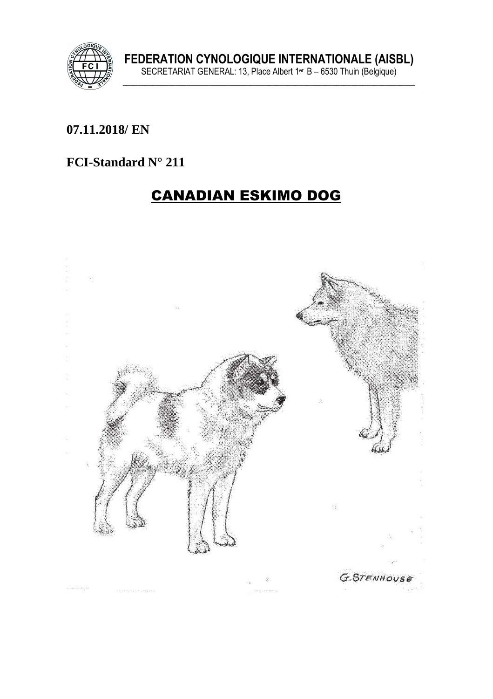

## 07.11.2018/ EN

#### FCI-Standard N° 211

# **CANADIAN ESKIMO DOG**

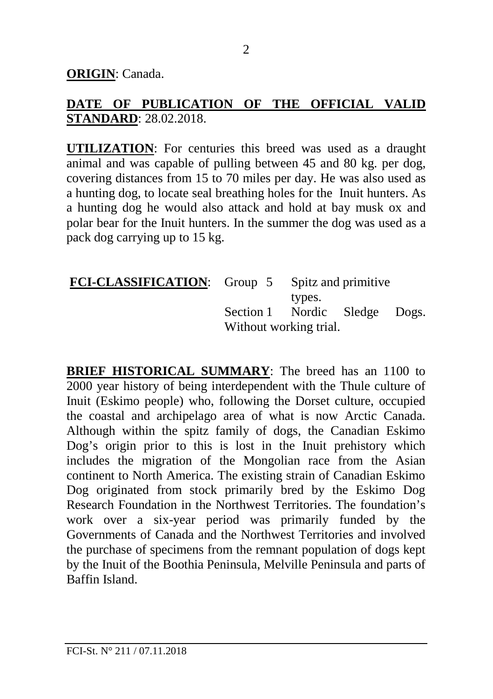**ORIGIN**: Canada.

#### **DATE OF PUBLICATION OF THE OFFICIAL VALID STANDARD**: 28.02.2018.

**UTILIZATION**: For centuries this breed was used as a draught animal and was capable of pulling between 45 and 80 kg. per dog, covering distances from 15 to 70 miles per day. He was also used as a hunting dog, to locate seal breathing holes for the Inuit hunters. As a hunting dog he would also attack and hold at bay musk ox and polar bear for the Inuit hunters. In the summer the dog was used as a pack dog carrying up to 15 kg.

| <b>FCI-CLASSIFICATION:</b> Group 5 Spitz and primitive |                               |        |  |  |
|--------------------------------------------------------|-------------------------------|--------|--|--|
|                                                        |                               | types. |  |  |
|                                                        | Section 1 Nordic Sledge Dogs. |        |  |  |
|                                                        | Without working trial.        |        |  |  |

**BRIEF HISTORICAL SUMMARY**: The breed has an 1100 to 2000 year history of being interdependent with the Thule culture of Inuit (Eskimo people) who, following the Dorset culture, occupied the coastal and archipelago area of what is now Arctic Canada. Although within the spitz family of dogs, the Canadian Eskimo Dog's origin prior to this is lost in the Inuit prehistory which includes the migration of the Mongolian race from the Asian continent to North America. The existing strain of Canadian Eskimo Dog originated from stock primarily bred by the Eskimo Dog Research Foundation in the Northwest Territories. The foundation's work over a six-year period was primarily funded by the Governments of Canada and the Northwest Territories and involved the purchase of specimens from the remnant population of dogs kept by the Inuit of the Boothia Peninsula, Melville Peninsula and parts of Baffin Island.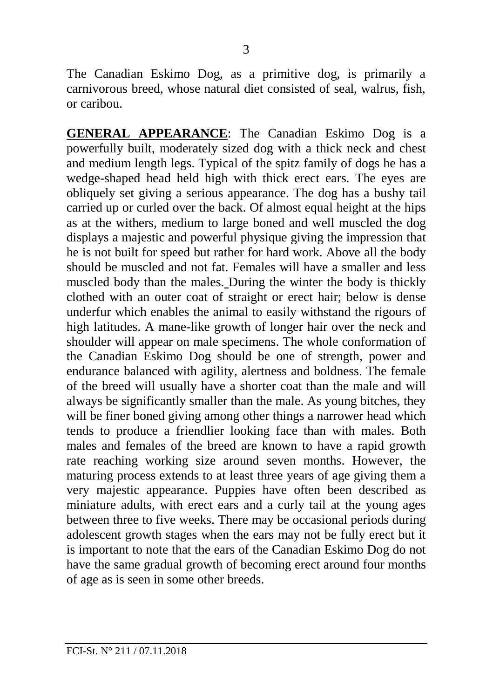The Canadian Eskimo Dog, as a primitive dog, is primarily a carnivorous breed, whose natural diet consisted of seal, walrus, fish, or caribou.

**GENERAL APPEARANCE**: The Canadian Eskimo Dog is a powerfully built, moderately sized dog with a thick neck and chest and medium length legs. Typical of the spitz family of dogs he has a wedge-shaped head held high with thick erect ears. The eyes are obliquely set giving a serious appearance. The dog has a bushy tail carried up or curled over the back. Of almost equal height at the hips as at the withers, medium to large boned and well muscled the dog displays a majestic and powerful physique giving the impression that he is not built for speed but rather for hard work. Above all the body should be muscled and not fat. Females will have a smaller and less muscled body than the males. During the winter the body is thickly clothed with an outer coat of straight or erect hair; below is dense underfur which enables the animal to easily withstand the rigours of high latitudes. A mane-like growth of longer hair over the neck and shoulder will appear on male specimens. The whole conformation of the Canadian Eskimo Dog should be one of strength, power and endurance balanced with agility, alertness and boldness. The female of the breed will usually have a shorter coat than the male and will always be significantly smaller than the male. As young bitches, they will be finer boned giving among other things a narrower head which tends to produce a friendlier looking face than with males. Both males and females of the breed are known to have a rapid growth rate reaching working size around seven months. However, the maturing process extends to at least three years of age giving them a very majestic appearance. Puppies have often been described as miniature adults, with erect ears and a curly tail at the young ages between three to five weeks. There may be occasional periods during adolescent growth stages when the ears may not be fully erect but it is important to note that the ears of the Canadian Eskimo Dog do not have the same gradual growth of becoming erect around four months of age as is seen in some other breeds.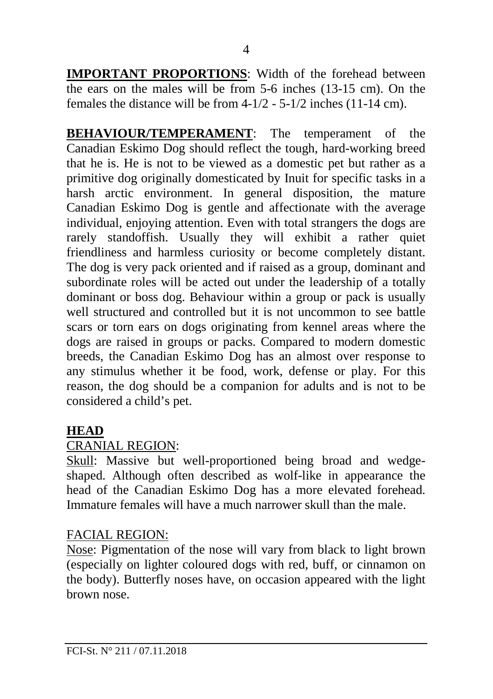**IMPORTANT PROPORTIONS**: Width of the forehead between the ears on the males will be from 5-6 inches (13-15 cm). On the females the distance will be from 4-1/2 - 5-1/2 inches (11-14 cm).

**BEHAVIOUR/TEMPERAMENT**: The temperament of the Canadian Eskimo Dog should reflect the tough, hard-working breed that he is. He is not to be viewed as a domestic pet but rather as a primitive dog originally domesticated by Inuit for specific tasks in a harsh arctic environment. In general disposition, the mature Canadian Eskimo Dog is gentle and affectionate with the average individual, enjoying attention. Even with total strangers the dogs are rarely standoffish. Usually they will exhibit a rather quiet friendliness and harmless curiosity or become completely distant. The dog is very pack oriented and if raised as a group, dominant and subordinate roles will be acted out under the leadership of a totally dominant or boss dog. Behaviour within a group or pack is usually well structured and controlled but it is not uncommon to see battle scars or torn ears on dogs originating from kennel areas where the dogs are raised in groups or packs. Compared to modern domestic breeds, the Canadian Eskimo Dog has an almost over response to any stimulus whether it be food, work, defense or play. For this reason, the dog should be a companion for adults and is not to be considered a child's pet.

#### **HEAD**

#### CRANIAL REGION:

Skull: Massive but well-proportioned being broad and wedgeshaped. Although often described as wolf-like in appearance the head of the Canadian Eskimo Dog has a more elevated forehead. Immature females will have a much narrower skull than the male.

#### FACIAL REGION:

Nose: Pigmentation of the nose will vary from black to light brown (especially on lighter coloured dogs with red, buff, or cinnamon on the body). Butterfly noses have, on occasion appeared with the light brown nose.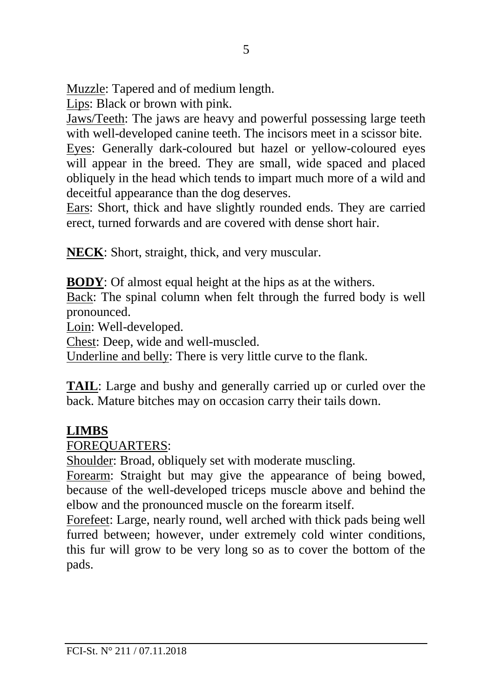Muzzle: Tapered and of medium length.

Lips: Black or brown with pink.

Jaws/Teeth: The jaws are heavy and powerful possessing large teeth with well-developed canine teeth. The incisors meet in a scissor bite.

Eyes: Generally dark-coloured but hazel or yellow-coloured eyes will appear in the breed. They are small, wide spaced and placed obliquely in the head which tends to impart much more of a wild and deceitful appearance than the dog deserves.

Ears: Short, thick and have slightly rounded ends. They are carried erect, turned forwards and are covered with dense short hair.

**NECK**: Short, straight, thick, and very muscular.

**BODY**: Of almost equal height at the hips as at the withers.

Back: The spinal column when felt through the furred body is well pronounced.

Loin: Well-developed.

Chest: Deep, wide and well-muscled.

Underline and belly: There is very little curve to the flank.

**TAIL**: Large and bushy and generally carried up or curled over the back. Mature bitches may on occasion carry their tails down.

#### **LIMBS**

FOREQUARTERS:

Shoulder: Broad, obliquely set with moderate muscling.

Forearm: Straight but may give the appearance of being bowed, because of the well-developed triceps muscle above and behind the elbow and the pronounced muscle on the forearm itself.

Forefeet: Large, nearly round, well arched with thick pads being well furred between; however, under extremely cold winter conditions, this fur will grow to be very long so as to cover the bottom of the pads.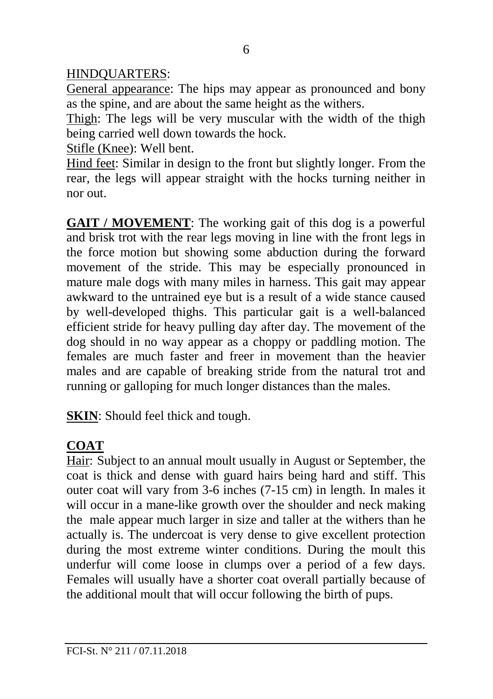#### HINDQUARTERS:

General appearance: The hips may appear as pronounced and bony as the spine, and are about the same height as the withers.

Thigh: The legs will be very muscular with the width of the thigh being carried well down towards the hock.

Stifle (Knee): Well bent.

Hind feet: Similar in design to the front but slightly longer. From the rear, the legs will appear straight with the hocks turning neither in nor out.

**GAIT / MOVEMENT**: The working gait of this dog is a powerful and brisk trot with the rear legs moving in line with the front legs in the force motion but showing some abduction during the forward movement of the stride. This may be especially pronounced in mature male dogs with many miles in harness. This gait may appear awkward to the untrained eye but is a result of a wide stance caused by well-developed thighs. This particular gait is a well-balanced efficient stride for heavy pulling day after day. The movement of the dog should in no way appear as a choppy or paddling motion. The females are much faster and freer in movement than the heavier males and are capable of breaking stride from the natural trot and running or galloping for much longer distances than the males.

**SKIN**: Should feel thick and tough.

# **COAT**

Hair: Subject to an annual moult usually in August or September, the coat is thick and dense with guard hairs being hard and stiff. This outer coat will vary from 3-6 inches (7-15 cm) in length. In males it will occur in a mane-like growth over the shoulder and neck making the male appear much larger in size and taller at the withers than he actually is. The undercoat is very dense to give excellent protection during the most extreme winter conditions. During the moult this underfur will come loose in clumps over a period of a few days. Females will usually have a shorter coat overall partially because of the additional moult that will occur following the birth of pups.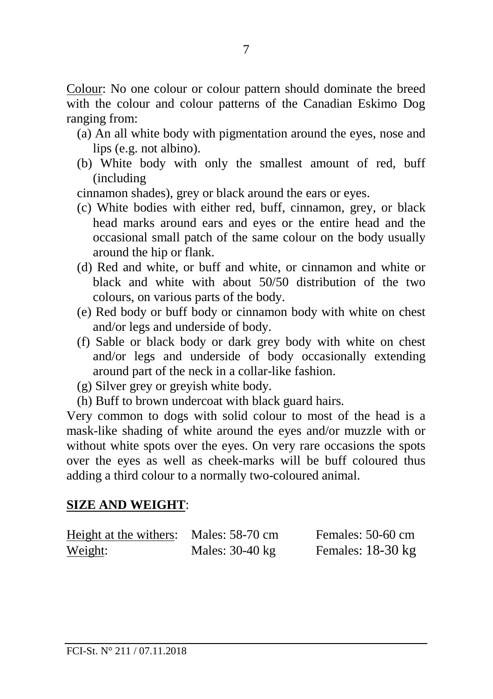Colour: No one colour or colour pattern should dominate the breed with the colour and colour patterns of the Canadian Eskimo Dog ranging from:

- (a) An all white body with pigmentation around the eyes, nose and lips (e.g. not albino).
- (b) White body with only the smallest amount of red, buff (including
- cinnamon shades), grey or black around the ears or eyes.
- (c) White bodies with either red, buff, cinnamon, grey, or black head marks around ears and eyes or the entire head and the occasional small patch of the same colour on the body usually around the hip or flank.
- (d) Red and white, or buff and white, or cinnamon and white or black and white with about 50/50 distribution of the two colours, on various parts of the body.
- (e) Red body or buff body or cinnamon body with white on chest and/or legs and underside of body.
- (f) Sable or black body or dark grey body with white on chest and/or legs and underside of body occasionally extending around part of the neck in a collar-like fashion.
- (g) Silver grey or greyish white body.
- (h) Buff to brown undercoat with black guard hairs.

Very common to dogs with solid colour to most of the head is a mask-like shading of white around the eyes and/or muzzle with or without white spots over the eyes. On very rare occasions the spots over the eyes as well as cheek-marks will be buff coloured thus adding a third colour to a normally two-coloured animal.

#### **SIZE AND WEIGHT**:

| Height at the withers: | Males: 58-70 cm | Females: 50-60 cm   |
|------------------------|-----------------|---------------------|
| Weight:                | Males: 30-40 kg | Females: $18-30$ kg |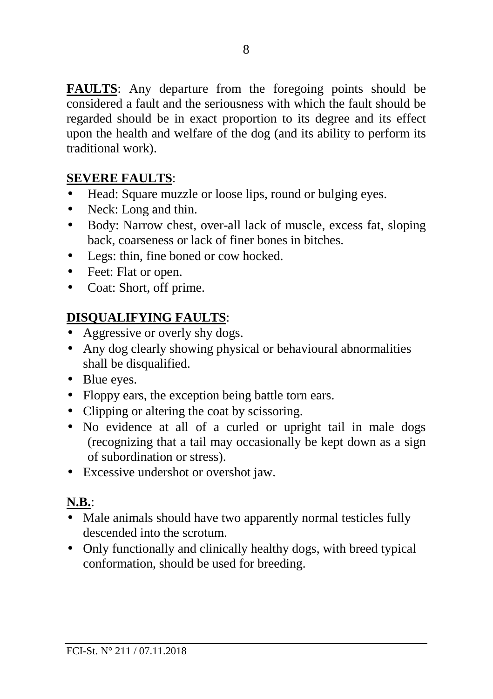**FAULTS**: Any departure from the foregoing points should be considered a fault and the seriousness with which the fault should be regarded should be in exact proportion to its degree and its effect upon the health and welfare of the dog (and its ability to perform its traditional work).

# **SEVERE FAULTS**:

- Head: Square muzzle or loose lips, round or bulging eyes.
- Neck: Long and thin.
- Body: Narrow chest, over-all lack of muscle, excess fat, sloping back, coarseness or lack of finer bones in bitches.
- Legs: thin, fine boned or cow hocked.
- Feet: Flat or open.
- Coat: Short, off prime.

# **DISQUALIFYING FAULTS**:

- Aggressive or overly shy dogs.
- Any dog clearly showing physical or behavioural abnormalities shall be disqualified.
- Blue eyes.
- Floppy ears, the exception being battle torn ears.
- Clipping or altering the coat by scissoring.
- No evidence at all of a curled or upright tail in male dogs (recognizing that a tail may occasionally be kept down as a sign of subordination or stress).
- Excessive undershot or overshot jaw.

# **N.B.**:

- Male animals should have two apparently normal testicles fully descended into the scrotum.
- Only functionally and clinically healthy dogs, with breed typical conformation, should be used for breeding.